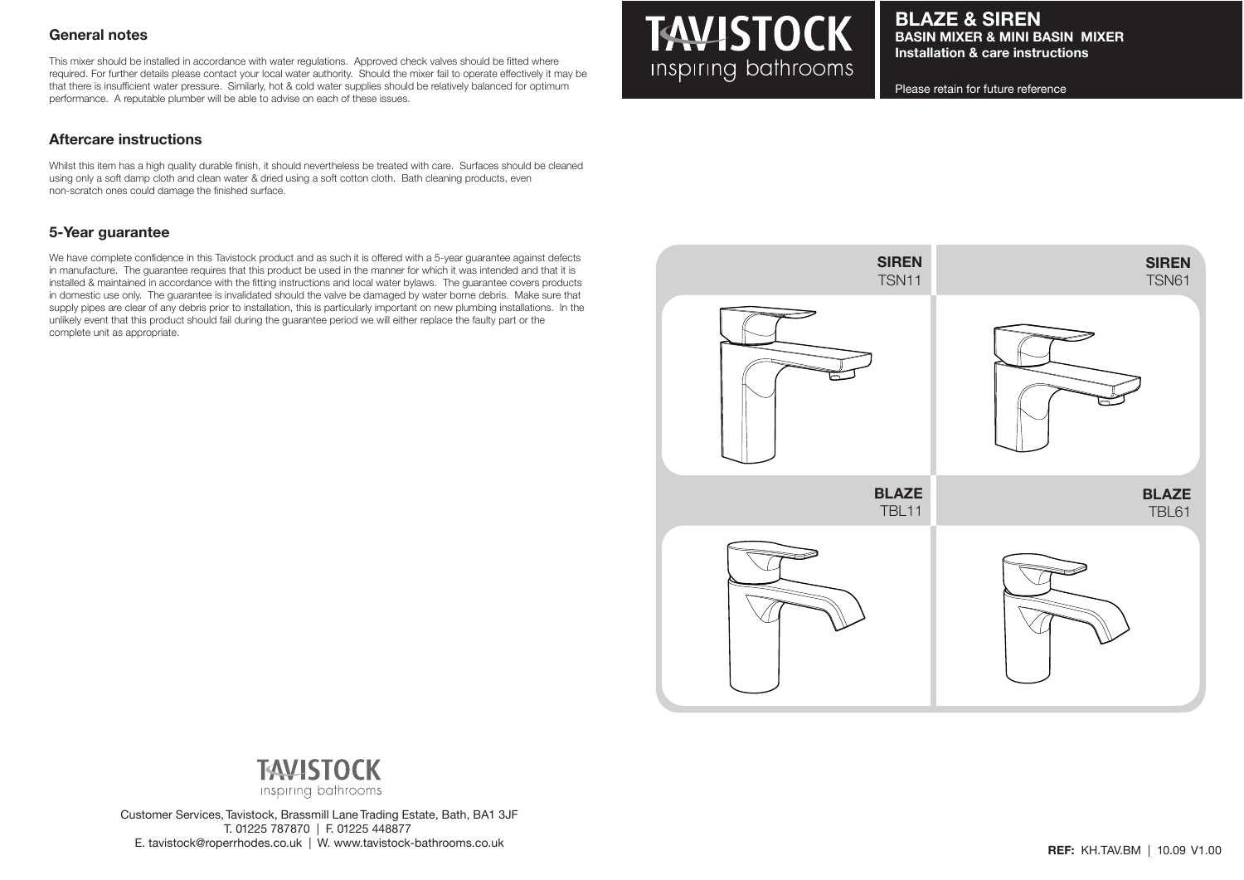## **General notes**

This mixer should be installed in accordance with water regulations. Approved check valves should be fitted where required. For further details please contact your local water authority. Should the mixer fail to operate effectively it may be that there is insufficient water pressure. Similarly, hot & cold water supplies should be relatively balanced for optimum performance. A reputable plumber will be able to advise on each of these issues.

## **Aftercare instructions**

Whilst this item has a high quality durable finish, it should nevertheless be treated with care. Surfaces should be cleaned using only a soft damp cloth and clean water & dried using a soft cotton cloth. Bath cleaning products, even non-scratch ones could damage the finished surface.

## **5-Year guarantee**

We have complete confidence in this Tavistock product and as such it is offered with a 5-year guarantee against defects in manufacture. The guarantee requires that this product be used in the manner for which it was intended and that it is installed & maintained in accordance with the fitting instructions and local water bylaws. The guarantee covers products in domestic use only. The guarantee is invalidated should the valve be damaged by water borne debris. Make sure that supply pipes are clear of any debris prior to installation, this is particularly important on new plumbing installations. In the unlikely event that this product should fail during the guarantee period we will either replace the faulty part or the complete unit as appropriate.

# **TAVISTOCK** Inspiring bathrooms

**BLAZE & SIREN BASIN MIXER & MINI BASIN MIXER Installation & care instructions**

Please retain for future reference





Customer Services, Tavistock, Brassmill Lane Trading Estate, Bath, BA1 3JF T. 01225 787870 | F. 01225 448877 E. tavistock@roperrhodes.co.uk | W. www.tavistock-bathrooms.co.uk **REF:** KH.TAV.BM | 10.09 V1.00